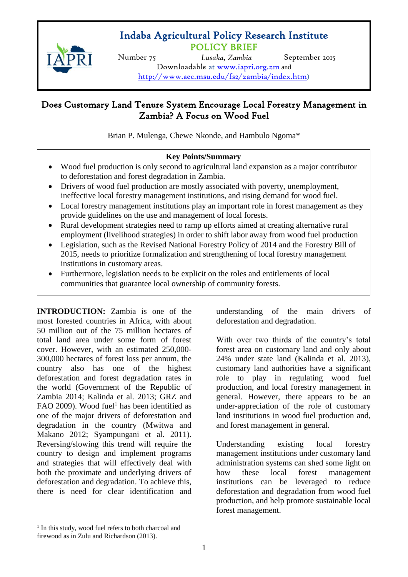# POLICY BRIEF Indaba Agricultural Policy Research Institute



Lusaka, Zambia Downloadable at [www.iapri.org.zm](http://www.iapri.org.zm/) and Number 75 *Lusaka, Zambia* September 2015 <http://www.aec.msu.edu/fs2/zambia/index.htm>)

## Does Customary Land Tenure System Encourage Local Forestry Management in Zambia? A Focus on Wood Fuel

Brian P. Mulenga, Chewe Nkonde, and Hambulo Ngoma\*

## **Key Points/Summary**

- Wood fuel production is only second to agricultural land expansion as a major contributor to deforestation and forest degradation in Zambia.
- Drivers of wood fuel production are mostly associated with poverty, unemployment, ineffective local forestry management institutions, and rising demand for wood fuel.
- Local forestry management institutions play an important role in forest management as they provide guidelines on the use and management of local forests.
- Rural development strategies need to ramp up efforts aimed at creating alternative rural employment (livelihood strategies) in order to shift labor away from wood fuel production
- Legislation, such as the Revised National Forestry Policy of 2014 and the Forestry Bill of 2015, needs to prioritize formalization and strengthening of local forestry management institutions in customary areas.
- Furthermore, legislation needs to be explicit on the roles and entitlements of local communities that guarantee local ownership of community forests.

**INTRODUCTION:** Zambia is one of the most forested countries in Africa, with about 50 million out of the 75 million hectares of total land area under some form of forest cover. However, with an estimated 250,000- 300,000 hectares of forest loss per annum, the country also has one of the highest deforestation and forest degradation rates in the world (Government of the Republic of Zambia 2014; Kalinda et al. 2013; GRZ and FAO 2009). Wood fuel<sup>1</sup> has been identified as one of the major drivers of deforestation and degradation in the country (Mwitwa and Makano 2012; Syampungani et al. 2011). Reversing/slowing this trend will require the country to design and implement programs and strategies that will effectively deal with both the proximate and underlying drivers of deforestation and degradation. To achieve this, there is need for clear identification and

understanding of the main drivers of deforestation and degradation.

With over two thirds of the country's total forest area on customary land and only about 24% under state land (Kalinda et al. 2013), customary land authorities have a significant role to play in regulating wood fuel production, and local forestry management in general. However, there appears to be an under-appreciation of the role of customary land institutions in wood fuel production and, and forest management in general.

Understanding existing local forestry management institutions under customary land administration systems can shed some light on how these local forest management institutions can be leveraged to reduce deforestation and degradation from wood fuel production, and help promote sustainable local forest management.

 $\overline{\phantom{a}}$ 

<sup>&</sup>lt;sup>1</sup> In this study, wood fuel refers to both charcoal and firewood as in Zulu and Richardson (2013).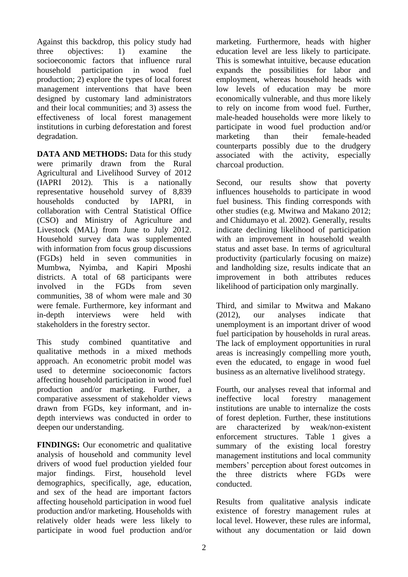Against this backdrop, this policy study had three objectives: 1) examine the socioeconomic factors that influence rural household participation in wood fuel production; 2) explore the types of local forest management interventions that have been designed by customary land administrators and their local communities; and 3) assess the effectiveness of local forest management institutions in curbing deforestation and forest degradation.

**DATA AND METHODS:** Data for this study were primarily drawn from the Rural Agricultural and Livelihood Survey of 2012 (IAPRI 2012). This is a nationally representative household survey of 8,839 households conducted by IAPRI, in collaboration with Central Statistical Office (CSO) and Ministry of Agriculture and Livestock (MAL) from June to July 2012. Household survey data was supplemented with information from focus group discussions (FGDs) held in seven communities in Mumbwa, Nyimba, and Kapiri Mposhi districts. A total of 68 participants were involved in the FGDs from seven communities, 38 of whom were male and 30 were female. Furthermore, key informant and in-depth interviews were held with stakeholders in the forestry sector.

This study combined quantitative and qualitative methods in a mixed methods approach. An econometric probit model was used to determine socioeconomic factors affecting household participation in wood fuel production and/or marketing. Further, a comparative assessment of stakeholder views drawn from FGDs, key informant, and indepth interviews was conducted in order to deepen our understanding.

**FINDINGS:** Our econometric and qualitative analysis of household and community level drivers of wood fuel production yielded four major findings. First, household level demographics, specifically, age, education, and sex of the head are important factors affecting household participation in wood fuel production and/or marketing. Households with relatively older heads were less likely to participate in wood fuel production and/or

marketing. Furthermore, heads with higher education level are less likely to participate. This is somewhat intuitive, because education expands the possibilities for labor and employment, whereas household heads with low levels of education may be more economically vulnerable, and thus more likely to rely on income from wood fuel. Further, male-headed households were more likely to participate in wood fuel production and/or marketing than their female-headed counterparts possibly due to the drudgery associated with the activity, especially charcoal production.

Second, our results show that poverty influences households to participate in wood fuel business. This finding corresponds with other studies (e.g. Mwitwa and Makano 2012; and Chidumayo et al. 2002). Generally, results indicate declining likelihood of participation with an improvement in household wealth status and asset base. In terms of agricultural productivity (particularly focusing on maize) and landholding size, results indicate that an improvement in both attributes reduces likelihood of participation only marginally.

Third, and similar to Mwitwa and Makano (2012), our analyses indicate that unemployment is an important driver of wood fuel participation by households in rural areas. The lack of employment opportunities in rural areas is increasingly compelling more youth, even the educated, to engage in wood fuel business as an alternative livelihood strategy.

Fourth, our analyses reveal that informal and ineffective local forestry management institutions are unable to internalize the costs of forest depletion. Further, these institutions are characterized by weak/non-existent enforcement structures. Table 1 gives a summary of the existing local forestry management institutions and local community members' perception about forest outcomes in the three districts where FGDs were conducted.

Results from qualitative analysis indicate existence of forestry management rules at local level. However, these rules are informal, without any documentation or laid down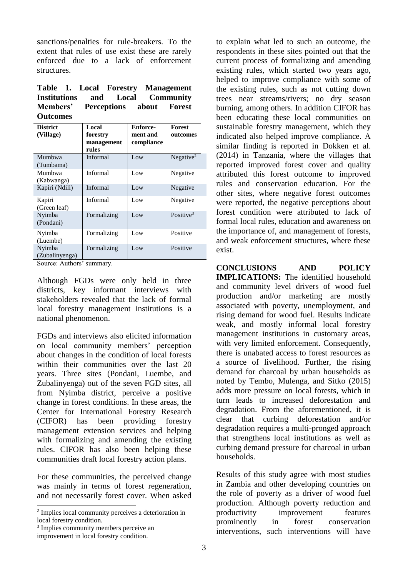sanctions/penalties for rule-breakers. To the extent that rules of use exist these are rarely enforced due to a lack of enforcement structures.

| Table 1. Local Forestry Management |  |  |  |
|------------------------------------|--|--|--|
| Institutions and Local Community   |  |  |  |
| Members' Perceptions about Forest  |  |  |  |
| <b>Outcomes</b>                    |  |  |  |

| <b>District</b><br>(Village) | Local<br>forestry<br>management<br>rules | Enforce-<br>ment and<br>compliance | <b>Forest</b><br>outcomes |
|------------------------------|------------------------------------------|------------------------------------|---------------------------|
| Mumbwa<br>(Tumbama)          | Informal                                 | Low                                | Negative $2$              |
| Mumbwa<br>(Kabwanga)         | Informal                                 | Low                                | Negative                  |
| Kapiri (Ndili)               | Informal                                 | Low                                | Negative                  |
| Kapiri<br>(Green leaf)       | Informal                                 | Low                                | Negative                  |
| Nyimba<br>(Pondani)          | Formalizing                              | Low                                | Positive $3$              |
| Nyimba<br>(Luembe)           | Formalizing                              | Low                                | Positive                  |
| Nyimba<br>(Zubalinyenga)     | Formalizing                              | Low                                | Positive                  |

Source: Authors' summary.

Although FGDs were only held in three districts, key informant interviews with stakeholders revealed that the lack of formal local forestry management institutions is a national phenomenon.

FGDs and interviews also elicited information on local community members' perception about changes in the condition of local forests within their communities over the last 20 years. Three sites (Pondani, Luembe, and Zubalinyenga) out of the seven FGD sites, all from Nyimba district, perceive a positive change in forest conditions. In these areas, the Center for International Forestry Research (CIFOR) has been providing forestry management extension services and helping with formalizing and amending the existing rules. CIFOR has also been helping these communities draft local forestry action plans.

For these communities, the perceived change was mainly in terms of forest regeneration, and not necessarily forest cover. When asked

 $\overline{\phantom{a}}$ 

to explain what led to such an outcome, the respondents in these sites pointed out that the current process of formalizing and amending existing rules, which started two years ago, helped to improve compliance with some of the existing rules, such as not cutting down trees near streams/rivers; no dry season burning, among others. In addition CIFOR has been educating these local communities on sustainable forestry management, which they indicated also helped improve compliance. A similar finding is reported in Dokken et al. (2014) in Tanzania, where the villages that reported improved forest cover and quality attributed this forest outcome to improved rules and conservation education. For the other sites, where negative forest outcomes were reported, the negative perceptions about forest condition were attributed to lack of formal local rules, education and awareness on the importance of, and management of forests, and weak enforcement structures, where these exist.

**CONCLUSIONS AND POLICY IMPLICATIONS:** The identified household and community level drivers of wood fuel production and/or marketing are mostly associated with poverty, unemployment, and rising demand for wood fuel. Results indicate weak, and mostly informal local forestry management institutions in customary areas, with very limited enforcement. Consequently, there is unabated access to forest resources as a source of livelihood. Further, the rising demand for charcoal by urban households as noted by Tembo, Mulenga, and Sitko (2015) adds more pressure on local forests, which in turn leads to increased deforestation and degradation. From the aforementioned, it is clear that curbing deforestation and/or degradation requires a multi-pronged approach that strengthens local institutions as well as curbing demand pressure for charcoal in urban households.

Results of this study agree with most studies in Zambia and other developing countries on the role of poverty as a driver of wood fuel production. Although poverty reduction and productivity improvement features prominently in forest conservation interventions, such interventions will have

<sup>2</sup> Implies local community perceives a deterioration in local forestry condition.

<sup>3</sup> Implies community members perceive an

improvement in local forestry condition.